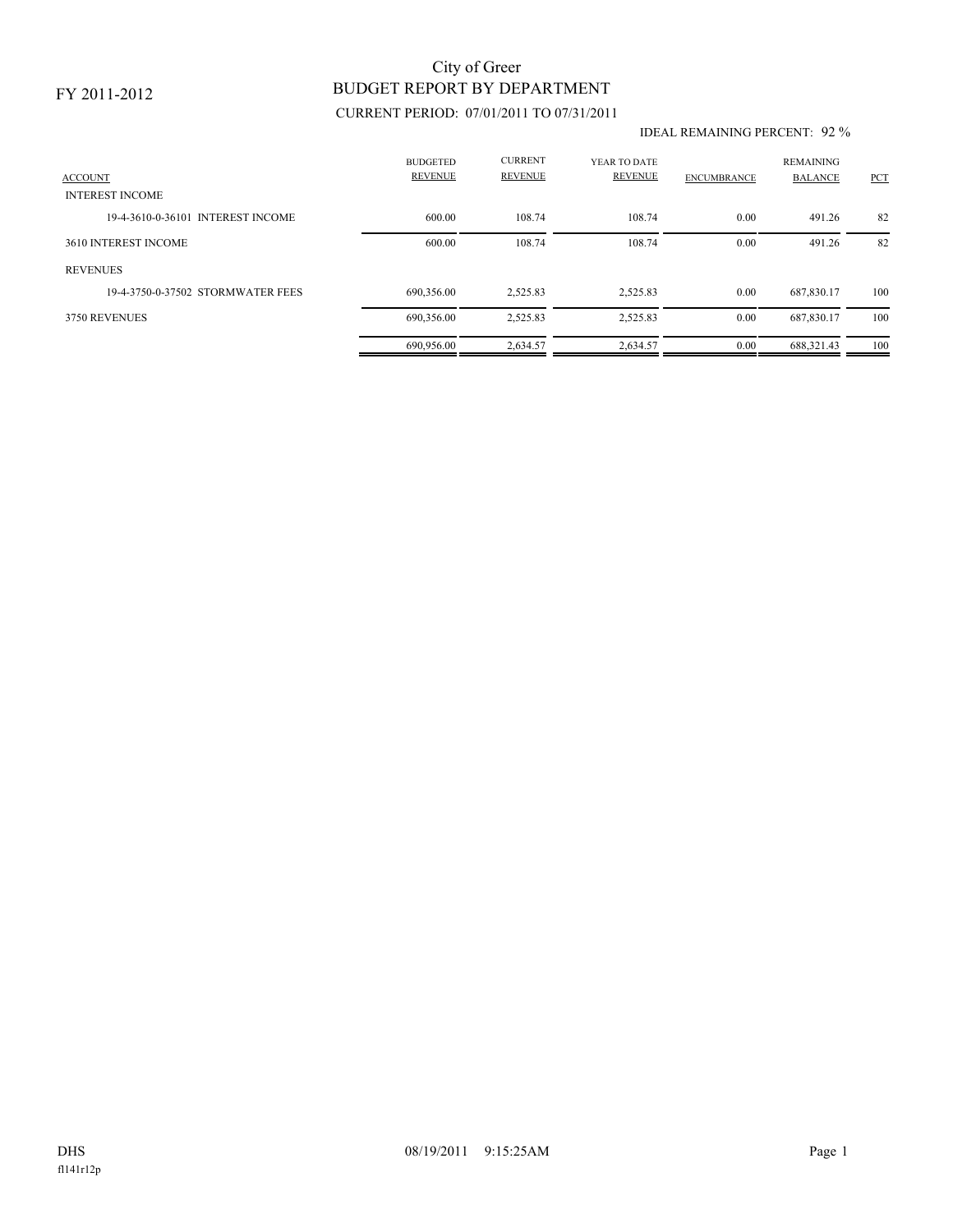### FY 2011-2012

# BUDGET REPORT BY DEPARTMENT City of Greer

## CURRENT PERIOD: 07/01/2011 TO 07/31/2011

#### IDEAL REMAINING PERCENT: 92 %

| <b>ACCOUNT</b><br><b>INTEREST INCOME</b> | <b>BUDGETED</b><br><b>REVENUE</b> | <b>CURRENT</b><br><b>REVENUE</b> | YEAR TO DATE<br><b>REVENUE</b> | <b>ENCUMBRANCE</b> | <b>REMAINING</b><br><b>BALANCE</b> | <b>PCT</b> |
|------------------------------------------|-----------------------------------|----------------------------------|--------------------------------|--------------------|------------------------------------|------------|
| 19-4-3610-0-36101 INTEREST INCOME        | 600.00                            | 108.74                           | 108.74                         | 0.00               | 491.26                             | 82         |
|                                          |                                   |                                  |                                |                    |                                    |            |
| 3610 INTEREST INCOME                     | 600.00                            | 108.74                           | 108.74                         | 0.00               | 491.26                             | 82         |
| <b>REVENUES</b>                          |                                   |                                  |                                |                    |                                    |            |
| 19-4-3750-0-37502 STORMWATER FEES        | 690.356.00                        | 2,525.83                         | 2,525.83                       | 0.00               | 687.830.17                         | 100        |
| 3750 REVENUES                            | 690,356.00                        | 2,525.83                         | 2,525.83                       | 0.00               | 687,830.17                         | 100        |
|                                          | 690,956.00                        | 2,634.57                         | 2,634.57                       | 0.00               | 688.321.43                         | 100        |